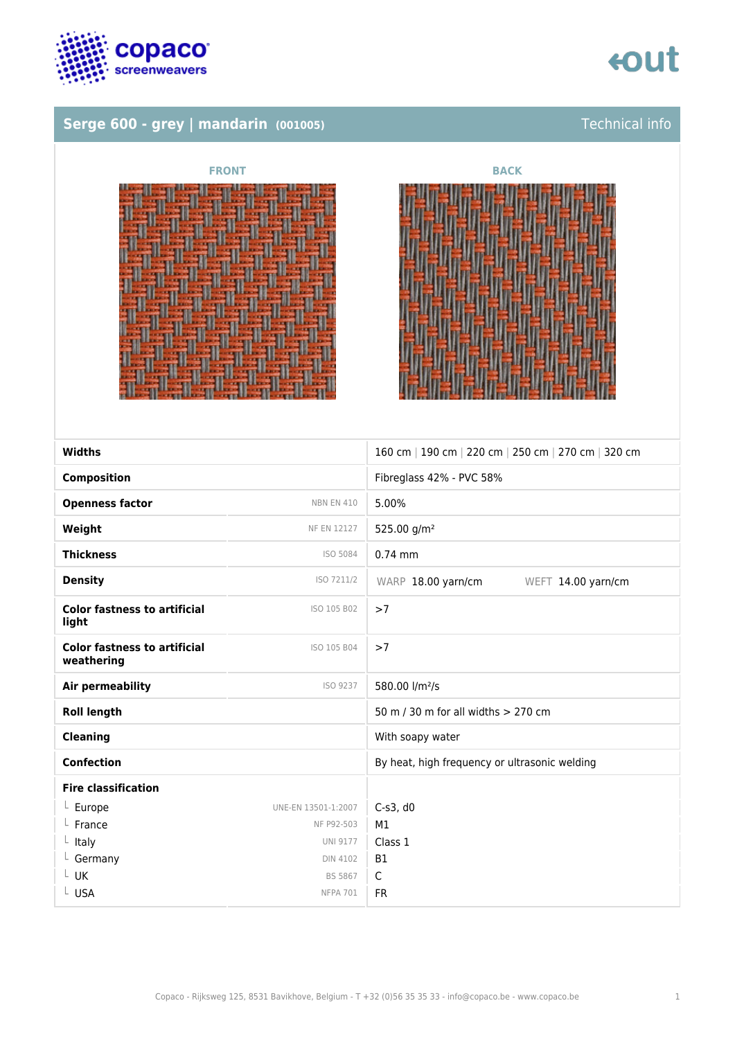

## **Serge 600 - grey | mandarin (001005)** Technical info





| <b>Widths</b>                                     |                     | 160 cm   190 cm   220 cm   250 cm   270 cm   320 cm |
|---------------------------------------------------|---------------------|-----------------------------------------------------|
|                                                   |                     |                                                     |
| <b>Composition</b>                                |                     | Fibreglass 42% - PVC 58%                            |
| <b>Openness factor</b>                            | <b>NBN EN 410</b>   | 5.00%                                               |
| Weight                                            | <b>NF EN 12127</b>  | 525.00 g/m <sup>2</sup>                             |
| <b>Thickness</b>                                  | ISO 5084            | $0.74$ mm                                           |
| <b>Density</b>                                    | ISO 7211/2          | WARP 18.00 yarn/cm<br>WEFT 14.00 yarn/cm            |
| <b>Color fastness to artificial</b><br>light      | ISO 105 B02         | >7                                                  |
| <b>Color fastness to artificial</b><br>weathering | ISO 105 B04         | >7                                                  |
| Air permeability                                  | ISO 9237            | 580.00 l/m <sup>2</sup> /s                          |
| <b>Roll length</b>                                |                     | 50 m / 30 m for all widths > 270 cm                 |
| <b>Cleaning</b>                                   |                     | With soapy water                                    |
| <b>Confection</b>                                 |                     | By heat, high frequency or ultrasonic welding       |
| <b>Fire classification</b>                        |                     |                                                     |
| $L$ Europe                                        | UNE-EN 13501-1:2007 | C-s3, d0                                            |
| $L$ France                                        | NF P92-503          | M1                                                  |
| $L$ Italy                                         | <b>UNI 9177</b>     | Class 1                                             |
| $L$ Germany                                       | <b>DIN 4102</b>     | <b>B1</b>                                           |
| L UK                                              | <b>BS 5867</b>      | $\mathsf{C}$                                        |
| L USA                                             | <b>NFPA 701</b>     | <b>FR</b>                                           |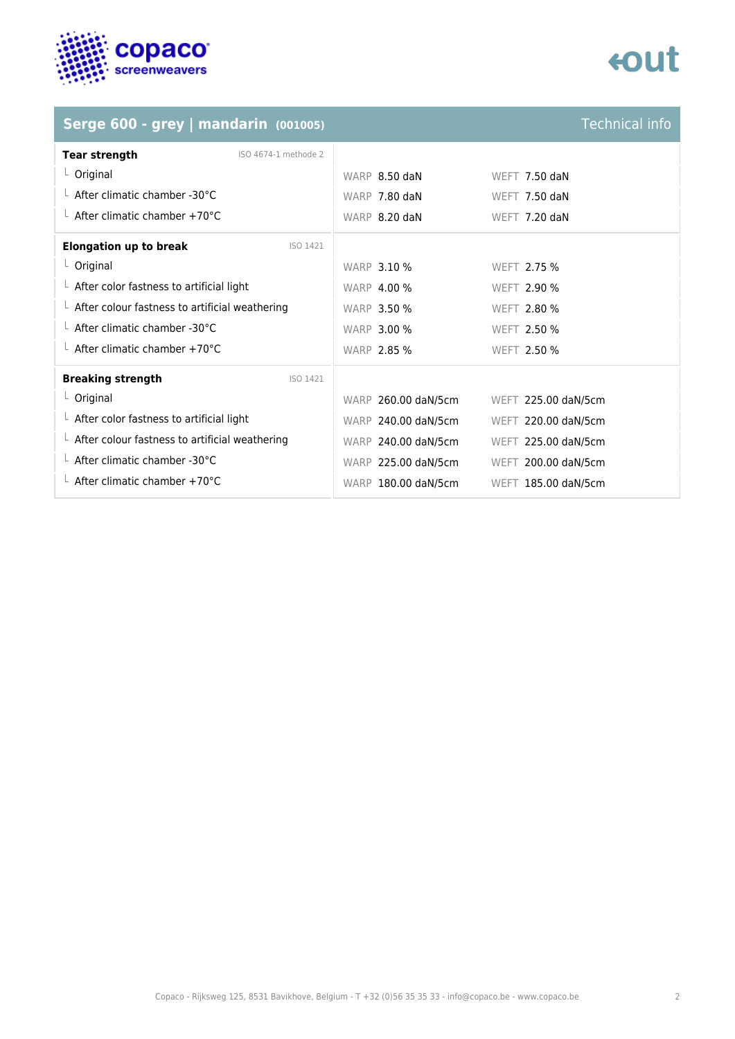

## **Serge 600 - grey | mandarin (001005)**

| <b>Technical info</b> |  |
|-----------------------|--|
|                       |  |
|                       |  |

| <b>Tear strength</b><br>ISO 4674-1 methode 2           |                                            |
|--------------------------------------------------------|--------------------------------------------|
| $L$ Original                                           | WARP 8.50 daN<br><b>WEFT 7.50 daN</b>      |
| $\perp$ After climatic chamber -30°C                   | WARP 7.80 daN<br><b>WEFT 7.50 daN</b>      |
| $\perp$ After climatic chamber +70°C                   | WARP 8.20 daN<br>WEFT 7.20 daN             |
| <b>Elongation up to break</b><br>ISO 1421              |                                            |
| $L$ Original                                           | <b>WARP 3.10 %</b><br>WEFT 2.75 %          |
| $\perp$ After color fastness to artificial light       | <b>WARP 4.00 %</b><br>WEFT 2.90 %          |
| $\perp$ After colour fastness to artificial weathering | <b>WARP 3.50 %</b><br><b>WEFT 2.80 %</b>   |
| $\perp$ After climatic chamber -30°C                   | <b>WARP 3.00 %</b><br>WEFT 2.50 %          |
| $\perp$ After climatic chamber +70°C                   | <b>WARP 2.85 %</b><br>WEFT 2.50 %          |
| <b>Breaking strength</b><br>ISO 1421                   |                                            |
| $L$ Original                                           | WARP 260.00 daN/5cm<br>WEFT 225.00 daN/5cm |
| $\perp$ After color fastness to artificial light       | WARP 240.00 daN/5cm<br>WEFT 220.00 daN/5cm |
| $\perp$ After colour fastness to artificial weathering | WARP 240.00 daN/5cm<br>WEFT 225.00 daN/5cm |
| $\perp$ After climatic chamber -30°C                   | WARP 225.00 daN/5cm<br>WEFT 200.00 daN/5cm |
| $\perp$ After climatic chamber +70°C                   | WARP 180.00 daN/5cm<br>WEFT 185.00 daN/5cm |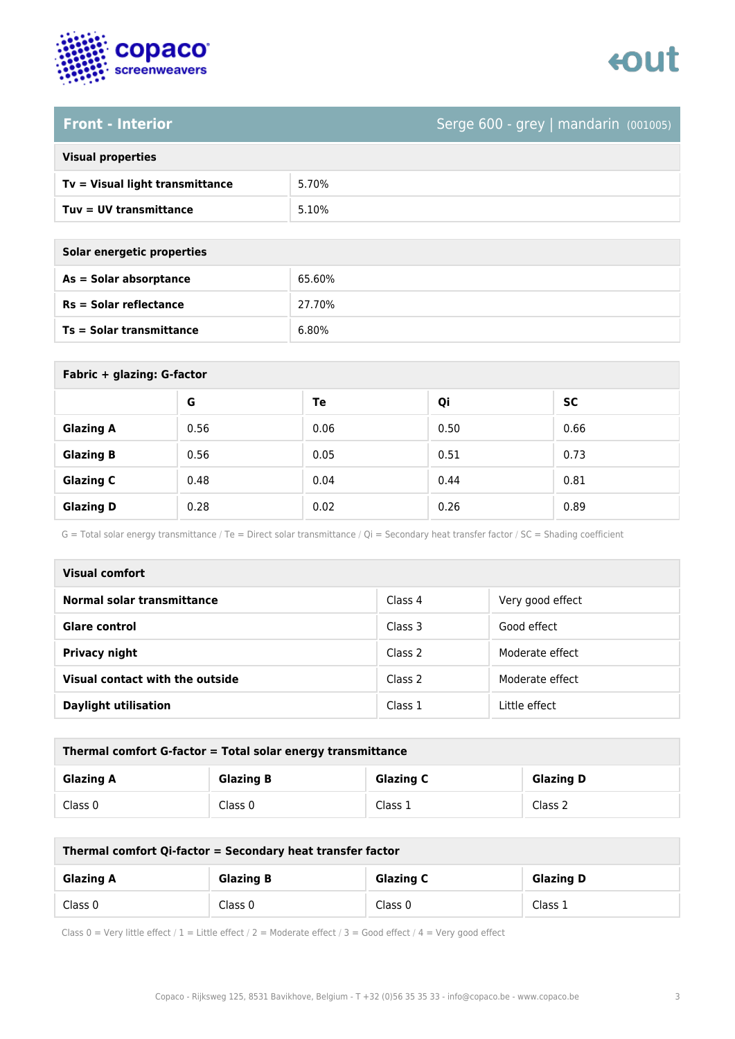

## **Front - Interior** Serge 600 - grey | mandarin (001005)

| <b>Visual properties</b> |
|--------------------------|
|                          |

| Tv = Visual light transmittance | 5.70% |
|---------------------------------|-------|
| $Tuv = UV$ transmittance        | 5.10% |

**As = Solar absorptance** 65.60%

**Rs = Solar reflectance** 27.70%

| Solar energetic properties |        |  |
|----------------------------|--------|--|
| As = Solar absorptance     | 65.60% |  |
| Rs = Solar reflectance     | 27.70% |  |
| Ts = Solar transmittance   | 6.80%  |  |

| Fabric + glazing: G-factor |      |      |      |           |
|----------------------------|------|------|------|-----------|
|                            | G    | Te   | Qi   | <b>SC</b> |
| <b>Glazing A</b>           | 0.56 | 0.06 | 0.50 | 0.66      |
| <b>Glazing B</b>           | 0.56 | 0.05 | 0.51 | 0.73      |
| <b>Glazing C</b>           | 0.48 | 0.04 | 0.44 | 0.81      |
| <b>Glazing D</b>           | 0.28 | 0.02 | 0.26 | 0.89      |

G = Total solar energy transmittance / Te = Direct solar transmittance / Qi = Secondary heat transfer factor / SC = Shading coefficient

| Visual comfort                  |         |                  |
|---------------------------------|---------|------------------|
| Normal solar transmittance      | Class 4 | Very good effect |
| Glare control                   | Class 3 | Good effect      |
| <b>Privacy night</b>            | Class 2 | Moderate effect  |
| Visual contact with the outside | Class 2 | Moderate effect  |
| <b>Daylight utilisation</b>     | Class 1 | Little effect    |

| Thermal comfort G-factor = Total solar energy transmittance |                                                          |         |         |  |
|-------------------------------------------------------------|----------------------------------------------------------|---------|---------|--|
| <b>Glazing A</b>                                            | <b>Glazing C</b><br><b>Glazing B</b><br><b>Glazing D</b> |         |         |  |
| Class 0                                                     | Class 0                                                  | Class 1 | Class 2 |  |

| Thermal comfort Qi-factor = Secondary heat transfer factor |                                                          |         |         |  |
|------------------------------------------------------------|----------------------------------------------------------|---------|---------|--|
| <b>Glazing A</b>                                           | <b>Glazing C</b><br><b>Glazing B</b><br><b>Glazing D</b> |         |         |  |
| Class 0                                                    | Class 0                                                  | Class 0 | Class 1 |  |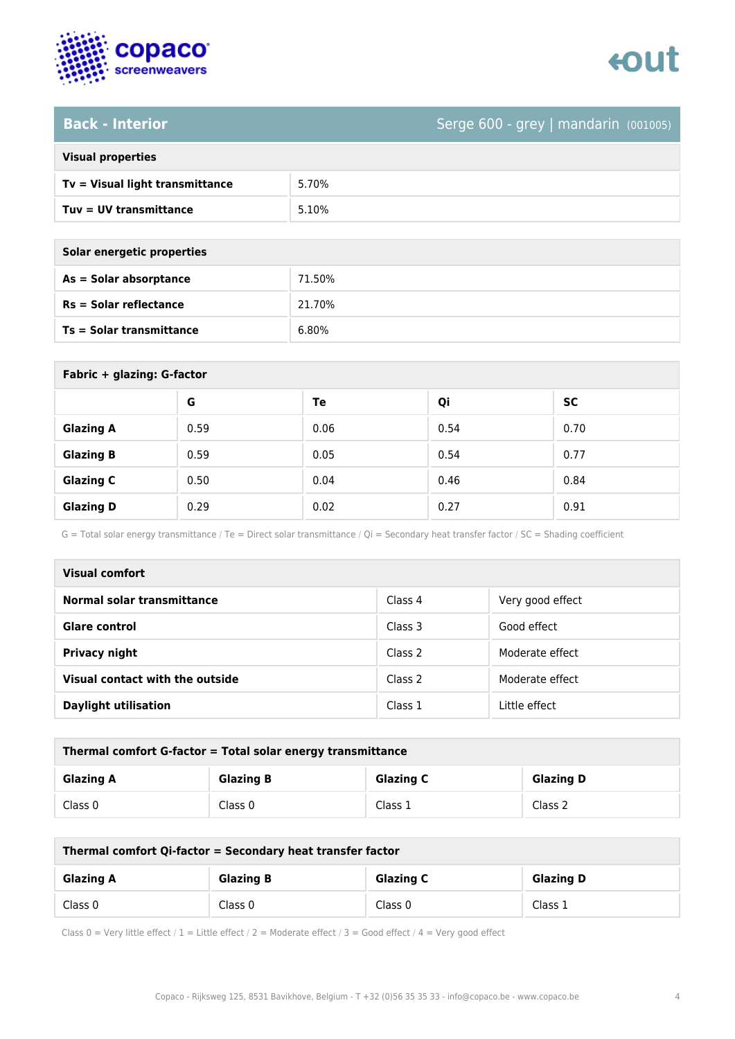

### **Back - Interior** Serge 600 - grey | mandarin (001005)

| <b>Visual properties</b>        |       |
|---------------------------------|-------|
| Tv = Visual light transmittance | 5.70% |
| Tuv = UV transmittance          | 5.10% |
|                                 |       |

| Solar energetic properties      |        |  |
|---------------------------------|--------|--|
| As = Solar absorptance          | 71.50% |  |
| $Rs = Solar$ reflectance        | 21.70% |  |
| <b>Ts = Solar transmittance</b> | 6.80%  |  |

| Fabric + glazing: G-factor |      |      |      |      |
|----------------------------|------|------|------|------|
|                            | G    | Te   | Qi   | SC   |
| <b>Glazing A</b>           | 0.59 | 0.06 | 0.54 | 0.70 |
| <b>Glazing B</b>           | 0.59 | 0.05 | 0.54 | 0.77 |
| <b>Glazing C</b>           | 0.50 | 0.04 | 0.46 | 0.84 |
| <b>Glazing D</b>           | 0.29 | 0.02 | 0.27 | 0.91 |

G = Total solar energy transmittance / Te = Direct solar transmittance / Qi = Secondary heat transfer factor / SC = Shading coefficient

| Visual comfort                  |         |                  |
|---------------------------------|---------|------------------|
| Normal solar transmittance      | Class 4 | Very good effect |
| <b>Glare control</b>            | Class 3 | Good effect      |
| <b>Privacy night</b>            | Class 2 | Moderate effect  |
| Visual contact with the outside | Class 2 | Moderate effect  |
| <b>Daylight utilisation</b>     | Class 1 | Little effect    |

| Thermal comfort G-factor = Total solar energy transmittance |                  |                  |                  |
|-------------------------------------------------------------|------------------|------------------|------------------|
| <b>Glazing A</b>                                            | <b>Glazing B</b> | <b>Glazing C</b> | <b>Glazing D</b> |
| Class 0                                                     | Class 0          | Class 1          | Class 2          |

| Thermal comfort Qi-factor = Secondary heat transfer factor |                  |                  |                  |
|------------------------------------------------------------|------------------|------------------|------------------|
| <b>Glazing A</b>                                           | <b>Glazing B</b> | <b>Glazing C</b> | <b>Glazing D</b> |
| Class 0                                                    | Class 0          | Class 0          | Class 1          |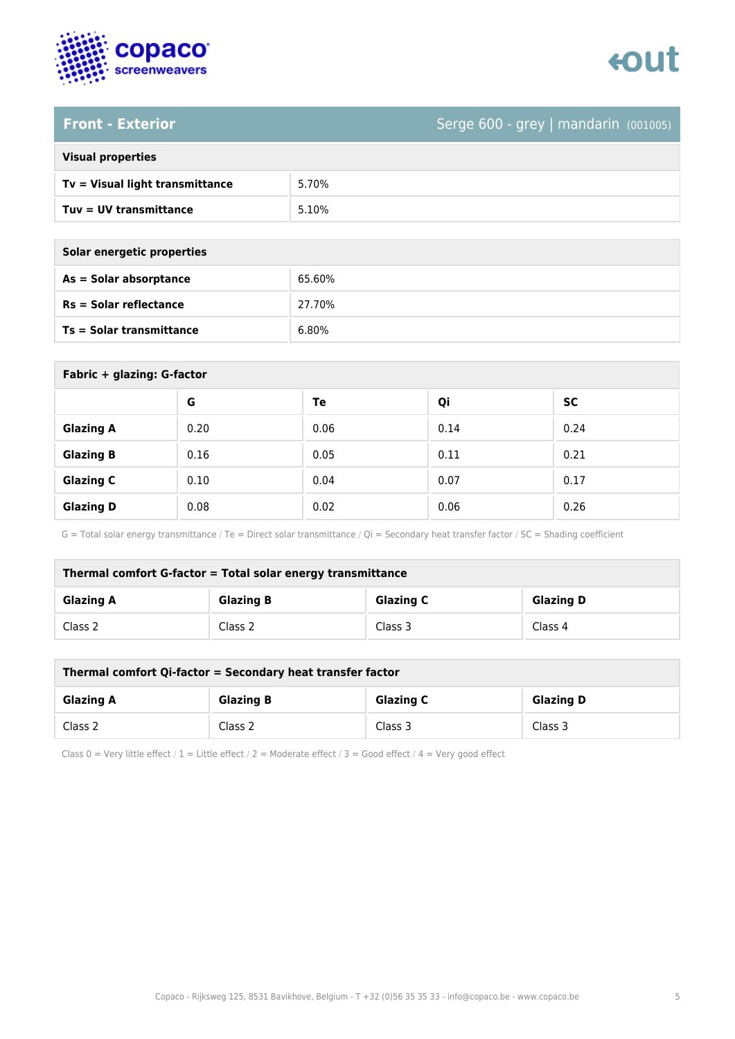

### **Front - Exterior** Serge 600 - grey | mandarin (001005)

| <b>Visual properties</b> |
|--------------------------|
|                          |

| Tv = Visual light transmittance | 5.70% |
|---------------------------------|-------|
| Tuv = UV transmittance          | 5.10% |

**As = Solar absorptance** 65.60%

**Rs = Solar reflectance** 27.70%

| Solar energetic properties |        |
|----------------------------|--------|
| As = Solar absorptance     | 65.60% |
| $Rs = Solar$ reflectance   | 27.70% |
| Ts = Solar transmittance   | 6.80%  |

| Fabric + glazing: G-factor |      |      |      |           |
|----------------------------|------|------|------|-----------|
|                            | G    | Te   | Qi   | <b>SC</b> |
| <b>Glazing A</b>           | 0.20 | 0.06 | 0.14 | 0.24      |
| <b>Glazing B</b>           | 0.16 | 0.05 | 0.11 | 0.21      |
| <b>Glazing C</b>           | 0.10 | 0.04 | 0.07 | 0.17      |
| <b>Glazing D</b>           | 0.08 | 0.02 | 0.06 | 0.26      |

G = Total solar energy transmittance / Te = Direct solar transmittance / Qi = Secondary heat transfer factor / SC = Shading coefficient

| Thermal comfort G-factor = Total solar energy transmittance |                  |                  |                  |
|-------------------------------------------------------------|------------------|------------------|------------------|
| <b>Glazing A</b>                                            | <b>Glazing B</b> | <b>Glazing C</b> | <b>Glazing D</b> |
| Class 2                                                     | Class 2          | Class 3          | Class 4          |

| Thermal comfort Qi-factor = Secondary heat transfer factor |                  |                  |                  |
|------------------------------------------------------------|------------------|------------------|------------------|
| <b>Glazing A</b>                                           | <b>Glazing B</b> | <b>Glazing C</b> | <b>Glazing D</b> |
| Class 2                                                    | Class 2          | Class 3          | Class 3          |